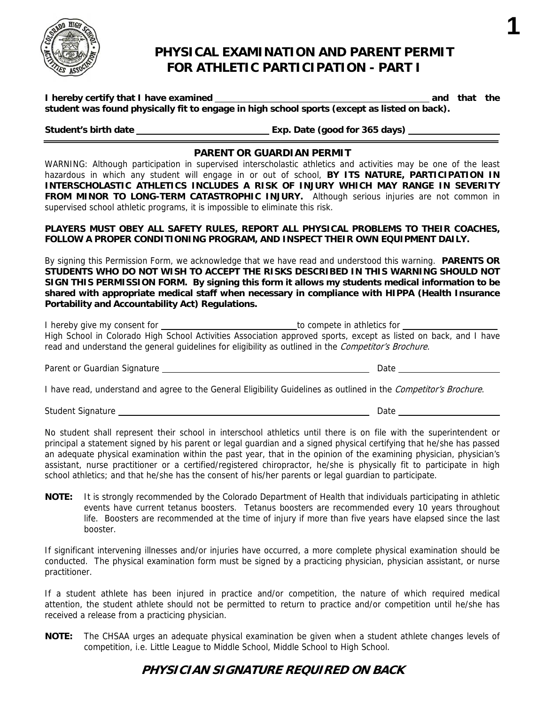

# **PHYSICAL EXAMINATION AND PARENT PERMIT FOR ATHLETIC PARTICIPATION - PART I**

**I hereby certify that I have examined and that the student was found physically fit to engage in high school sports (except as listed on back).** 

**Student's birth date Exp. Date (good for 365 days)** 

**1**

### **PARENT OR GUARDIAN PERMIT**

<u> 1989 - Johann Barn, mars eta bainar eta idazlea (</u>

WARNING: Although participation in supervised interscholastic athletics and activities may be one of the least hazardous in which any student will engage in or out of school, **BY ITS NATURE, PARTICIPATION IN INTERSCHOLASTIC ATHLETICS INCLUDES A RISK OF INJURY WHICH MAY RANGE IN SEVERITY FROM MINOR TO LONG-TERM CATASTROPHIC INJURY.** Although serious injuries are not common in supervised school athletic programs, it is impossible to eliminate this risk.

**PLAYERS MUST OBEY ALL SAFETY RULES, REPORT ALL PHYSICAL PROBLEMS TO THEIR COACHES, FOLLOW A PROPER CONDITIONING PROGRAM, AND INSPECT THEIR OWN EQUIPMENT DAILY.** 

By signing this Permission Form, we acknowledge that we have read and understood this warning. **PARENTS OR STUDENTS WHO DO NOT WISH TO ACCEPT THE RISKS DESCRIBED IN THIS WARNING SHOULD NOT SIGN THIS PERMISSION FORM. By signing this form it allows my students medical information to be shared with appropriate medical staff when necessary in compliance with HIPPA (Health Insurance Portability and Accountability Act) Regulations.** 

| I hereby give my consent for | to compete in athletics for                                                                                      |  |  |  |  |  |
|------------------------------|------------------------------------------------------------------------------------------------------------------|--|--|--|--|--|
|                              | High School in Colorado High School Activities Association approved sports, except as listed on back, and I have |  |  |  |  |  |
|                              | read and understand the general guidelines for eligibility as outlined in the <i>Competitor's Brochure.</i>      |  |  |  |  |  |

Parent or Guardian Signature **Date** Date Date Date Date

I have read, understand and agree to the General Eligibility Guidelines as outlined in the *Competitor's Brochure*.

Student Signature League Communication Communication Communication Communication Communication Communication Communication Communication Communication Communication Communication Communication Communication Communication C

No student shall represent their school in interschool athletics until there is on file with the superintendent or principal a statement signed by his parent or legal guardian and a signed physical certifying that he/she has passed an adequate physical examination within the past year, that in the opinion of the examining physician, physician's assistant, nurse practitioner or a certified/registered chiropractor, he/she is physically fit to participate in high school athletics; and that he/she has the consent of his/her parents or legal guardian to participate.

**NOTE:** It is strongly recommended by the Colorado Department of Health that individuals participating in athletic events have current tetanus boosters. Tetanus boosters are recommended every 10 years throughout life. Boosters are recommended at the time of injury if more than five years have elapsed since the last booster.

If significant intervening illnesses and/or injuries have occurred, a more complete physical examination should be conducted. The physical examination form must be signed by a practicing physician, physician assistant, or nurse practitioner.

If a student athlete has been injured in practice and/or competition, the nature of which required medical attention, the student athlete should not be permitted to return to practice and/or competition until he/she has received a release from a practicing physician.

**NOTE:** The CHSAA urges an adequate physical examination be given when a student athlete changes levels of competition, i.e. Little League to Middle School, Middle School to High School.

## **PHYSICIAN SIGNATURE REQUIRED ON BACK**